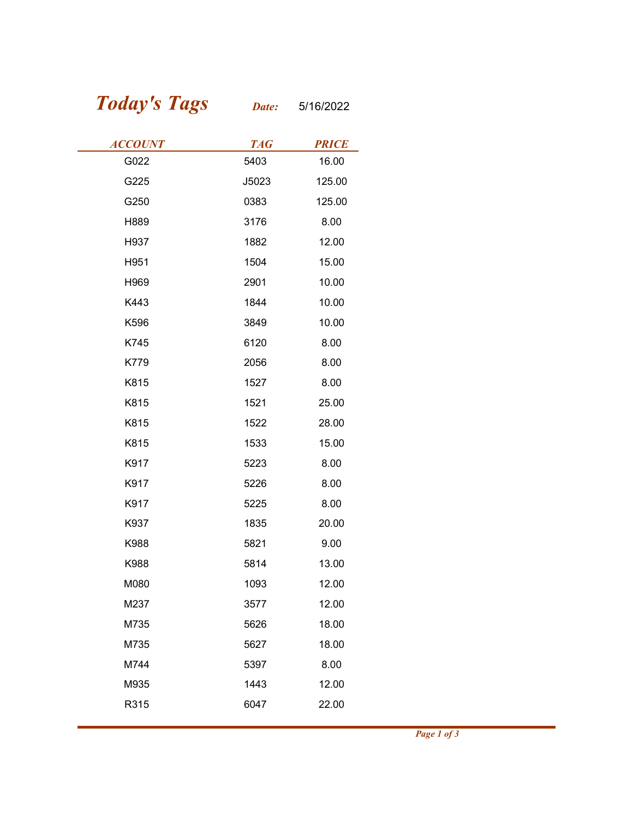## Today's Tags Date: 5/16/2022

| <b>Today's Tags</b> | Date:      | 5/16/2022    |
|---------------------|------------|--------------|
| <b>ACCOUNT</b>      | <b>TAG</b> | <b>PRICE</b> |
| G022                | 5403       | 16.00        |
| G225                | J5023      | 125.00       |
| G250                | 0383       | 125.00       |
| H889                | 3176       | 8.00         |
| H937                | 1882       | 12.00        |
| H951                | 1504       | 15.00        |
| H969                | 2901       | 10.00        |
| K443                | 1844       | 10.00        |
| K596                | 3849       | 10.00        |
| K745                | 6120       | 8.00         |
| K779                | 2056       | 8.00         |
| K815                | 1527       | 8.00         |
| K815                | 1521       | 25.00        |
| K815                | 1522       | 28.00        |
| K815                | 1533       | 15.00        |
| K917                | 5223       | 8.00         |
| K917                | 5226       | 8.00         |
| K917                | 5225       | 8.00         |
| K937                | 1835       | 20.00        |
| K988                | 5821       | 9.00         |
| K988                | 5814       | 13.00        |
| M080                | 1093       | 12.00        |
| M237                | 3577       | 12.00        |
| M735                | 5626       | 18.00        |
| M735                | 5627       | 18.00        |
| M744                | 5397       | 8.00         |
| M935                | 1443       | 12.00        |
|                     | 6047       | 22.00        |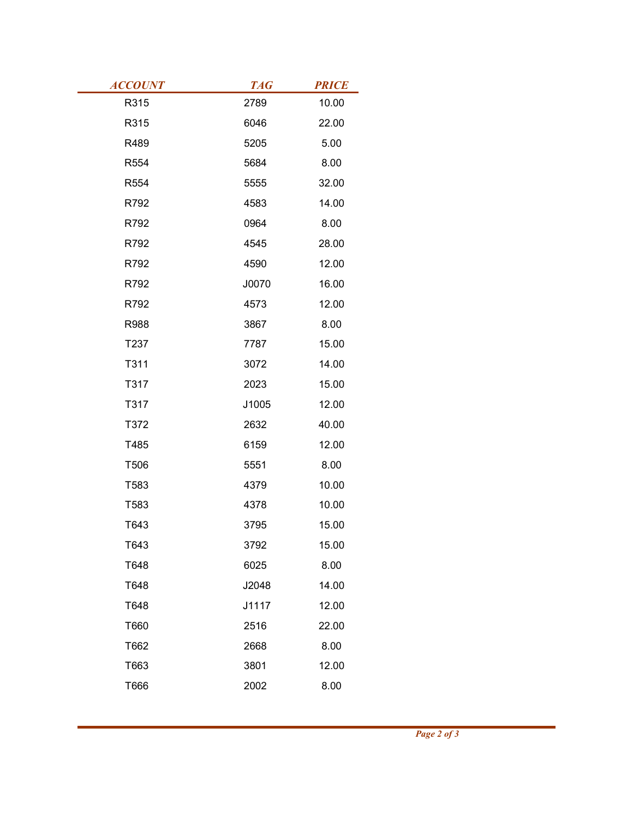| <b>ACCOUNT</b> | <b>TAG</b> | <b>PRICE</b> |
|----------------|------------|--------------|
| R315           | 2789       | 10.00        |
| R315           | 6046       | 22.00        |
| R489           | 5205       | 5.00         |
| R554           | 5684       | 8.00         |
| R554           | 5555       | 32.00        |
| R792           | 4583       | 14.00        |
| R792           | 0964       | 8.00         |
| R792           | 4545       | 28.00        |
| R792           | 4590       | 12.00        |
| R792           | J0070      | 16.00        |
| R792           | 4573       | 12.00        |
| R988           | 3867       | 8.00         |
| T237           | 7787       | 15.00        |
| T311           | 3072       | 14.00        |
| T317           | 2023       | 15.00        |
| T317           | J1005      | 12.00        |
| T372           | 2632       | 40.00        |
| T485           | 6159       | 12.00        |
| T506           | 5551       | 8.00         |
| T583           | 4379       | 10.00        |
| T583           | 4378       | 10.00        |
| T643           | 3795       | 15.00        |
| T643           | 3792       | 15.00        |
| T648           | 6025       | 8.00         |
| T648           | J2048      | 14.00        |
| T648           | J1117      | 12.00        |
| T660           | 2516       | 22.00        |
| T662           | 2668       | 8.00         |
| T663           | 3801       | 12.00        |
| T666           | 2002       | 8.00         |